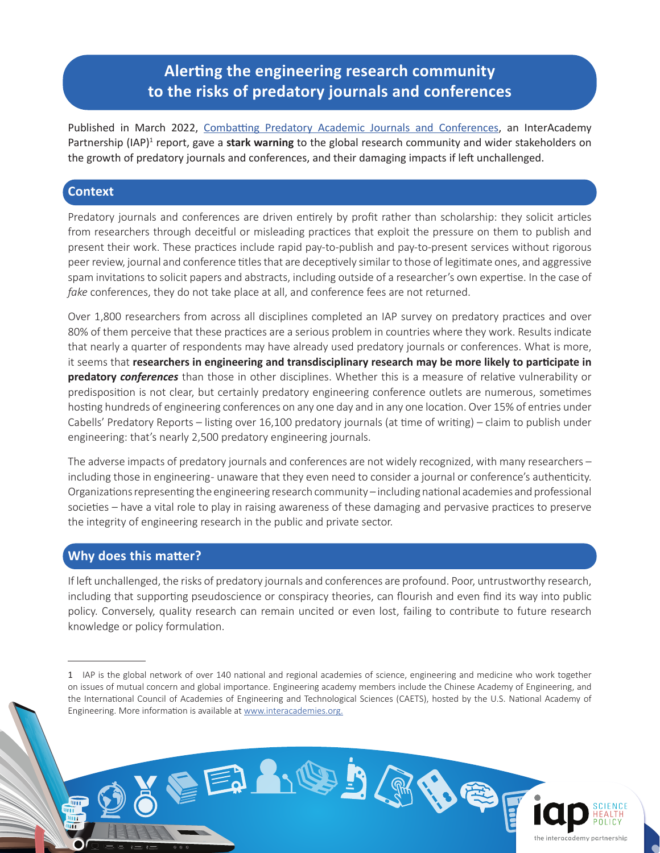## **Alerting the engineering research community to the risks of predatory journals and conferences**

Published in March 2022, [Combatting Predatory Academic Journals and Conferences,](https://www.interacademies.org/project/predatorypublishing) an InterAcademy Partnership (IAP)<sup>1</sup> report, gave a stark warning to the global research community and wider stakeholders on the growth of predatory journals and conferences, and their damaging impacts if left unchallenged.

## **Context**

Predatory journals and conferences are driven entirely by profit rather than scholarship: they solicit articles from researchers through deceitful or misleading practices that exploit the pressure on them to publish and present their work. These practices include rapid pay-to-publish and pay-to-present services without rigorous peer review, journal and conference titles that are deceptively similar to those of legitimate ones, and aggressive spam invitations to solicit papers and abstracts, including outside of a researcher's own expertise. In the case of *fake* conferences, they do not take place at all, and conference fees are not returned.

Over 1,800 researchers from across all disciplines completed an IAP survey on predatory practices and over 80% of them perceive that these practices are a serious problem in countries where they work. Results indicate that nearly a quarter of respondents may have already used predatory journals or conferences. What is more, it seems that **researchers in engineering and transdisciplinary research may be more likely to participate in predatory** *conferences* than those in other disciplines. Whether this is a measure of relative vulnerability or predisposition is not clear, but certainly predatory engineering conference outlets are numerous, sometimes hosting hundreds of engineering conferences on any one day and in any one location. Over 15% of entries under Cabells' Predatory Reports – listing over 16,100 predatory journals (at time of writing) – claim to publish under engineering: that's nearly 2,500 predatory engineering journals.

The adverse impacts of predatory journals and conferences are not widely recognized, with many researchers – including those in engineering- unaware that they even need to consider a journal or conference's authenticity. Organizations representing the engineering research community – including national academies and professional societies – have a vital role to play in raising awareness of these damaging and pervasive practices to preserve the integrity of engineering research in the public and private sector.

## **Why does this matter?**

шī

If left unchallenged, the risks of predatory journals and conferences are profound. Poor, untrustworthy research, including that supporting pseudoscience or conspiracy theories, can flourish and even find its way into public policy. Conversely, quality research can remain uncited or even lost, failing to contribute to future research knowledge or policy formulation.

EEANOBADE

<sup>1</sup> IAP is the global network of over 140 national and regional academies of science, engineering and medicine who work together on issues of mutual concern and global importance. Engineering academy members include the Chinese Academy of Engineering, and the International Council of Academies of Engineering and Technological Sciences (CAETS), hosted by the U.S. National Academy of Engineering. More information is available at [www.interacademies.org.](https://www.interacademies.org/)